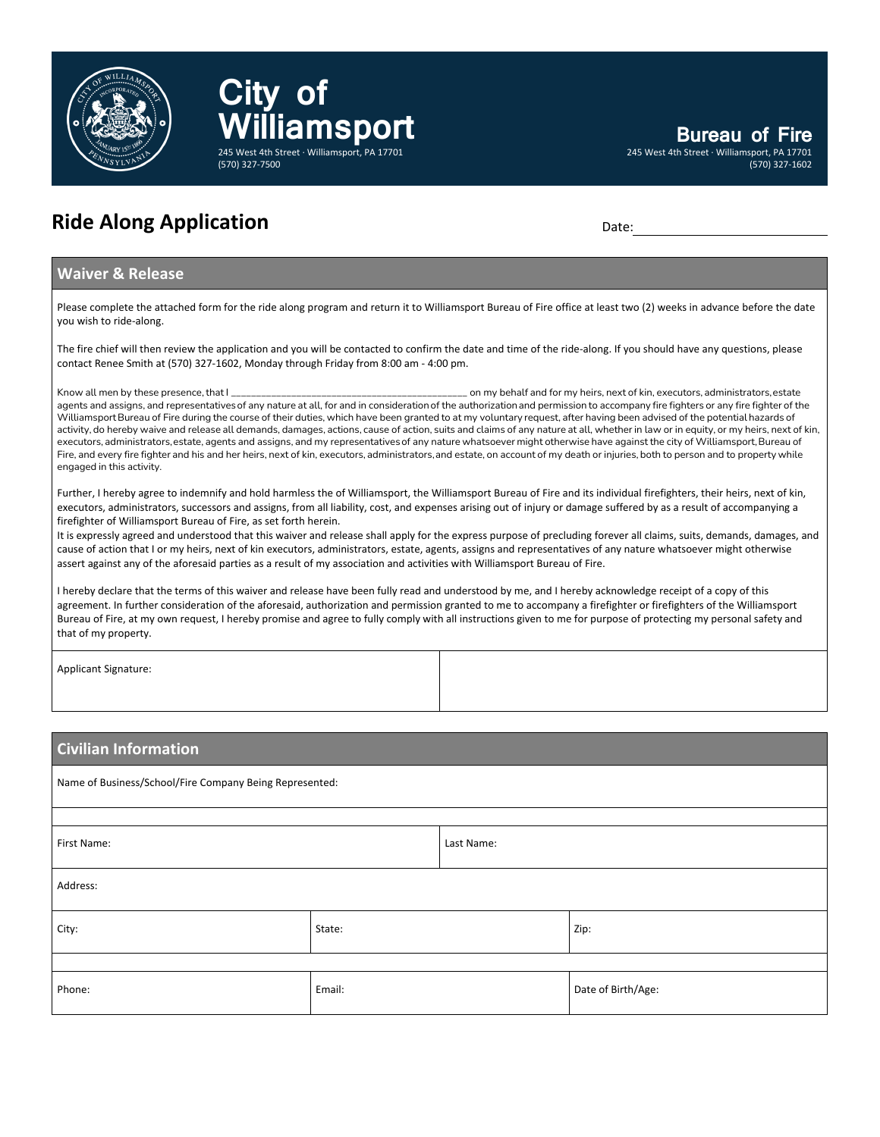

**Ride Along Application** Date: Date: Date: Date:

**City** of

(570) 327-7500

**Williamsport**

245 West 4th Street · Williamsport, PA 17701

## **Waiver & Release**

Please complete the attached form for the ride along program and return it to Williamsport Bureau of Fire office at least two (2) weeks in advance before the date you wish to ride-along.

The fire chief will then review the application and you will be contacted to confirm the date and time of the ride-along. If you should have any questions, please contact Renee Smith at (570) 327-1602, Monday through Friday from 8:00 am - 4:00 pm.

Know all men by these presence, that I \_\_\_\_\_\_\_\_\_\_\_\_\_\_\_\_\_\_\_\_\_\_\_\_\_\_\_\_\_\_\_\_\_\_\_\_\_\_\_\_\_\_\_\_\_\_\_ on my behalf and for my heirs, next of kin, executors, administrators, estate agents and assigns, and representatives of any nature at all, for and in consideration of the authorization and permission to accompany fire fighters or any fire fighter of the Williamsport Bureau of Fire during the course of their duties, which have been granted to at my voluntary request, after having been advised of the potential hazards of activity, do hereby waive and release all demands, damages, actions, cause of action, suits and claims of any nature at all, whether in law or in equity, or my heirs, next of kin, executors, administrators, estate, agents and assigns, and my representatives of any nature whatsoever might otherwise have against the city of Williamsport, Bureau of Fire, and every fire fighter and his and her heirs, next of kin, executors, administrators, and estate, on account of my death or injuries, both to person and to property while engaged in this activity.

Further, I hereby agree to indemnify and hold harmless the of Williamsport, the Williamsport Bureau of Fire and its individual firefighters, their heirs, next of kin, executors, administrators, successors and assigns, from all liability, cost, and expenses arising out of injury or damage suffered by as a result of accompanying a firefighter of Williamsport Bureau of Fire, as set forth herein.

It is expressly agreed and understood that this waiver and release shall apply for the express purpose of precluding forever all claims, suits, demands, damages, and cause of action that I or my heirs, next of kin executors, administrators, estate, agents, assigns and representatives of any nature whatsoever might otherwise assert against any of the aforesaid parties as a result of my association and activities with Williamsport Bureau of Fire.

I hereby declare that the terms of this waiver and release have been fully read and understood by me, and I hereby acknowledge receipt of a copy of this agreement. In further consideration of the aforesaid, authorization and permission granted to me to accompany a firefighter or firefighters of the Williamsport Bureau of Fire, at my own request, I hereby promise and agree to fully comply with all instructions given to me for purpose of protecting my personal safety and that of my property.

Applicant Signature:

# **Civilian Information**

| Name of Business/School/Fire Company Being Represented: |        |            |                    |  |
|---------------------------------------------------------|--------|------------|--------------------|--|
|                                                         |        |            |                    |  |
| First Name:                                             |        | Last Name: |                    |  |
| Address:                                                |        |            |                    |  |
| City:                                                   | State: |            | Zip:               |  |
|                                                         |        |            |                    |  |
| Phone:                                                  | Email: |            | Date of Birth/Age: |  |

**Bureau of Fire**

(570) 327-1602

245 West 4th Street · Williamsport, PA 17701